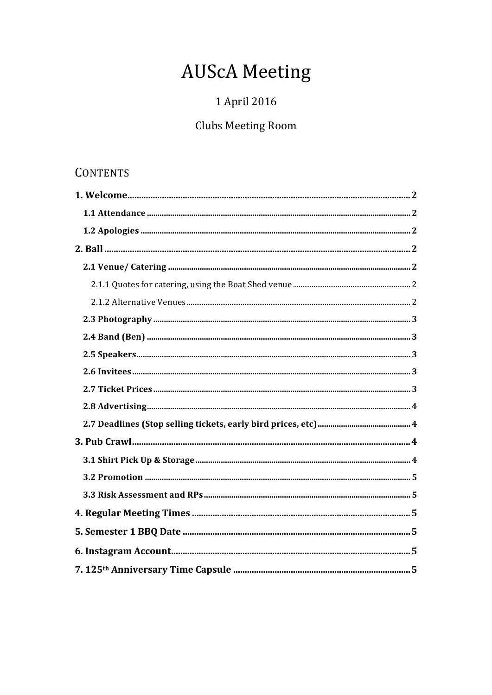# **AUScA Meeting**

# 1 April 2016

# **Clubs Meeting Room**

# **CONTENTS**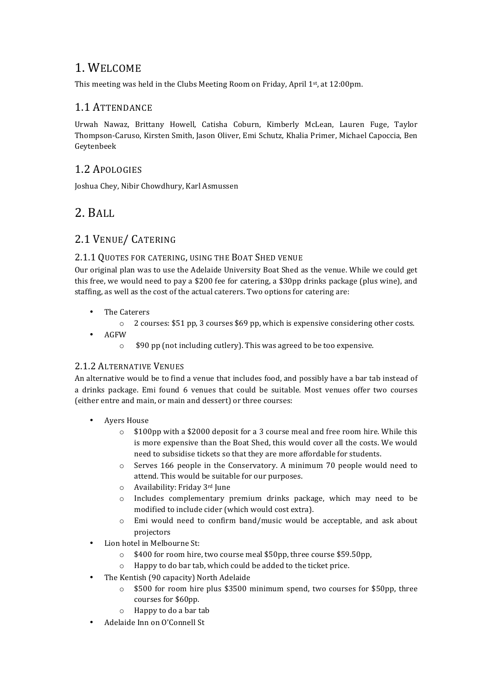# 1. WELCOME

This meeting was held in the Clubs Meeting Room on Friday, April 1st, at 12:00pm.

#### 1.1 ATTENDANCE

Urwah Nawaz, Brittany Howell, Catisha Coburn, Kimberly McLean, Lauren Fuge, Taylor Thompson-Caruso, Kirsten Smith, Jason Oliver, Emi Schutz, Khalia Primer, Michael Capoccia, Ben Geytenbeek

### 1.2 APOLOGIES

Joshua Chey, Nibir Chowdhury, Karl Asmussen

# 2. BALL

### 2.1 VENUE/ CATERING

#### 2.1.1 QUOTES FOR CATERING, USING THE BOAT SHED VENUE

Our original plan was to use the Adelaide University Boat Shed as the venue. While we could get this free, we would need to pay a \$200 fee for catering, a \$30pp drinks package (plus wine), and staffing, as well as the cost of the actual caterers. Two options for catering are:

- The Caterers
	- $\circ$  2 courses: \$51 pp, 3 courses \$69 pp, which is expensive considering other costs.
- AGFW
	- $\circ$  \$90 pp (not including cutlery). This was agreed to be too expensive.

#### 2.1.2 ALTERNATIVE VENUES

An alternative would be to find a venue that includes food, and possibly have a bar tab instead of a drinks package. Emi found 6 venues that could be suitable. Most venues offer two courses (either entre and main, or main and dessert) or three courses:

- Avers House
	- $\circ$  \$100pp with a \$2000 deposit for a 3 course meal and free room hire. While this is more expensive than the Boat Shed, this would cover all the costs. We would need to subsidise tickets so that they are more affordable for students.
	- $\circ$  Serves 166 people in the Conservatory. A minimum 70 people would need to attend. This would be suitable for our purposes.
	- o Availability: Friday 3rd June
	- $\circ$  Includes complementary premium drinks package, which may need to be modified to include cider (which would cost extra).
	- $\circ$  Emi would need to confirm band/music would be acceptable, and ask about projectors
- Lion hotel in Melbourne St:
	- o \$400 for room hire, two course meal \$50pp, three course \$59.50pp,
	- $\circ$  Happy to do bar tab, which could be added to the ticket price.
- The Kentish (90 capacity) North Adelaide
	- $\circ$  \$500 for room hire plus \$3500 minimum spend, two courses for \$50pp, three courses for \$60pp.
	- $\circ$  Happy to do a bar tab
- Adelaide Inn on O'Connell St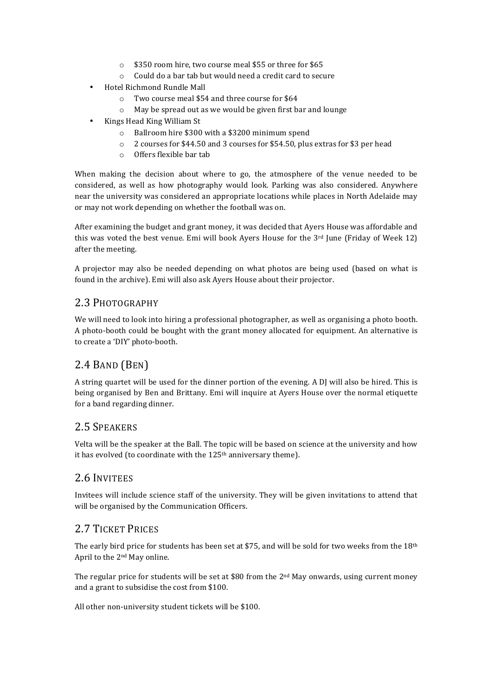- $\circ$  \$350 room hire, two course meal \$55 or three for \$65
- $\circ$  Could do a bar tab but would need a credit card to secure
- Hotel Richmond Rundle Mall
	- $\circ$  Two course meal \$54 and three course for \$64
	- $\circ$  May be spread out as we would be given first bar and lounge
- Kings Head King William St
	- $\circ$  Ballroom hire \$300 with a \$3200 minimum spend
	- $\circ$  2 courses for \$44.50 and 3 courses for \$54.50, plus extras for \$3 per head
	- $\circ$  Offers flexible bar tab

When making the decision about where to go, the atmosphere of the venue needed to be considered, as well as how photography would look. Parking was also considered. Anywhere near the university was considered an appropriate locations while places in North Adelaide may or may not work depending on whether the football was on.

After examining the budget and grant money, it was decided that Ayers House was affordable and this was voted the best venue. Emi will book Ayers House for the  $3<sup>rd</sup>$  June (Friday of Week 12) after the meeting.

A projector may also be needed depending on what photos are being used (based on what is found in the archive). Emi will also ask Ayers House about their projector.

#### 2.3 PHOTOGRAPHY

We will need to look into hiring a professional photographer, as well as organising a photo booth. A photo-booth could be bought with the grant money allocated for equipment. An alternative is to create a 'DIY' photo-booth.

# 2.4 BAND (BEN)

A string quartet will be used for the dinner portion of the evening. A DJ will also be hired. This is being organised by Ben and Brittany. Emi will inquire at Ayers House over the normal etiquette for a band regarding dinner.

#### 2.5 SPEAKERS

Velta will be the speaker at the Ball. The topic will be based on science at the university and how it has evolved (to coordinate with the 125<sup>th</sup> anniversary theme).

#### 2.6 INVITEES

Invitees will include science staff of the university. They will be given invitations to attend that will be organised by the Communication Officers.

#### 2.7 TICKET PRICES

The early bird price for students has been set at \$75, and will be sold for two weeks from the  $18<sup>th</sup>$ April to the  $2<sup>nd</sup>$  May online.

The regular price for students will be set at \$80 from the  $2<sup>nd</sup>$  May onwards, using current money and a grant to subsidise the cost from \$100.

All other non-university student tickets will be \$100.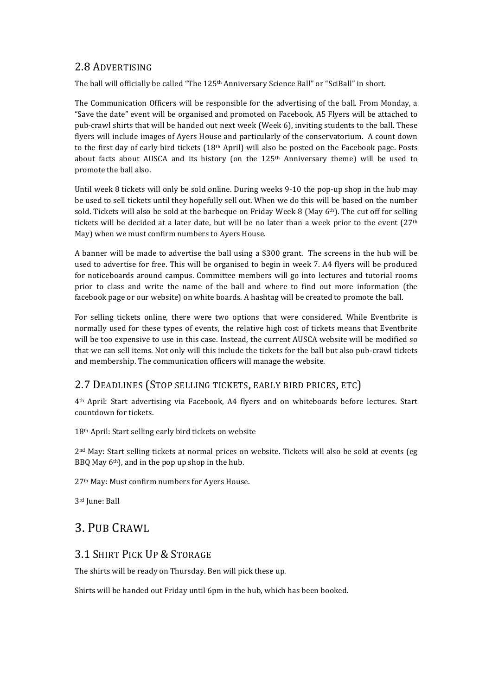#### 2.8 ADVERTISING

The ball will officially be called "The 125<sup>th</sup> Anniversary Science Ball" or "SciBall" in short.

The Communication Officers will be responsible for the advertising of the ball. From Monday, a "Save the date" event will be organised and promoted on Facebook. A5 Flyers will be attached to pub-crawl shirts that will be handed out next week (Week 6), inviting students to the ball. These flyers will include images of Ayers House and particularly of the conservatorium. A count down to the first day of early bird tickets  $(18<sup>th</sup>$  April) will also be posted on the Facebook page. Posts about facts about AUSCA and its history (on the  $125<sup>th</sup>$  Anniversary theme) will be used to promote the ball also.

Until week 8 tickets will only be sold online. During weeks 9-10 the pop-up shop in the hub may be used to sell tickets until they hopefully sell out. When we do this will be based on the number sold. Tickets will also be sold at the barbeque on Friday Week 8 (May  $6<sup>th</sup>$ ). The cut off for selling tickets will be decided at a later date, but will be no later than a week prior to the event  $(27<sup>th</sup>$ May) when we must confirm numbers to Ayers House.

A banner will be made to advertise the ball using a \$300 grant. The screens in the hub will be used to advertise for free. This will be organised to begin in week 7. A4 flyers will be produced for noticeboards around campus. Committee members will go into lectures and tutorial rooms prior to class and write the name of the ball and where to find out more information (the facebook page or our website) on white boards. A hashtag will be created to promote the ball.

For selling tickets online, there were two options that were considered. While Eventbrite is normally used for these types of events, the relative high cost of tickets means that Eventbrite will be too expensive to use in this case. Instead, the current AUSCA website will be modified so that we can sell items. Not only will this include the tickets for the ball but also pub-crawl tickets and membership. The communication officers will manage the website.

#### 2.7 DEADLINES (STOP SELLING TICKETS, EARLY BIRD PRICES, ETC)

4<sup>th</sup> April: Start advertising via Facebook, A4 flyers and on whiteboards before lectures. Start countdown for tickets.

18<sup>th</sup> April: Start selling early bird tickets on website

 $2<sup>nd</sup>$  May: Start selling tickets at normal prices on website. Tickets will also be sold at events (eg BBQ May  $6<sup>th</sup>$ ), and in the pop up shop in the hub.

27<sup>th</sup> May: Must confirm numbers for Ayers House.

3rd June: Ball

# 3. PUB CRAWL

#### 3.1 SHIRT PICK UP & STORAGE

The shirts will be ready on Thursday. Ben will pick these up.

Shirts will be handed out Friday until 6pm in the hub, which has been booked.